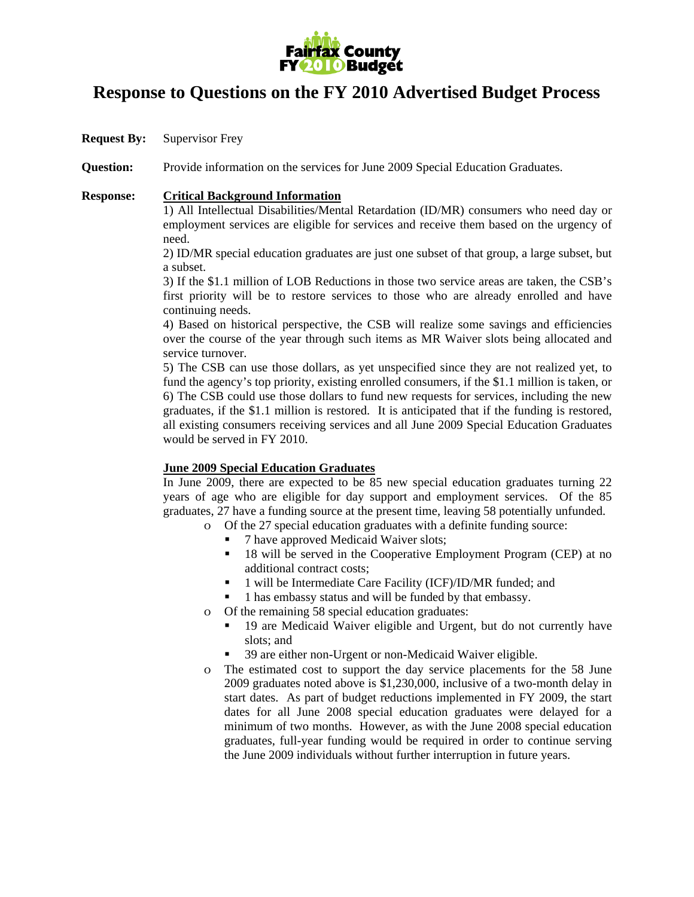

## **Response to Questions on the FY 2010 Advertised Budget Process**

**Request By:** Supervisor Frey

**Question:** Provide information on the services for June 2009 Special Education Graduates.

## **Response: Critical Background Information**

1) All Intellectual Disabilities/Mental Retardation (ID/MR) consumers who need day or employment services are eligible for services and receive them based on the urgency of need.

2) ID/MR special education graduates are just one subset of that group, a large subset, but a subset.

3) If the \$1.1 million of LOB Reductions in those two service areas are taken, the CSB's first priority will be to restore services to those who are already enrolled and have continuing needs.

4) Based on historical perspective, the CSB will realize some savings and efficiencies over the course of the year through such items as MR Waiver slots being allocated and service turnover.

5) The CSB can use those dollars, as yet unspecified since they are not realized yet, to fund the agency's top priority, existing enrolled consumers, if the \$1.1 million is taken, or 6) The CSB could use those dollars to fund new requests for services, including the new graduates, if the \$1.1 million is restored. It is anticipated that if the funding is restored, all existing consumers receiving services and all June 2009 Special Education Graduates would be served in FY 2010.

## **June 2009 Special Education Graduates**

In June 2009, there are expected to be 85 new special education graduates turning 22 years of age who are eligible for day support and employment services. Of the 85 graduates, 27 have a funding source at the present time, leaving 58 potentially unfunded.

- o Of the 27 special education graduates with a definite funding source:
	- 7 have approved Medicaid Waiver slots;
	- <sup>18</sup> will be served in the Cooperative Employment Program (CEP) at no additional contract costs;
	- <sup>•</sup> 1 will be Intermediate Care Facility (ICF)/ID/MR funded; and
	- 1 has embassy status and will be funded by that embassy.
- o Of the remaining 58 special education graduates:
	- 19 are Medicaid Waiver eligible and Urgent, but do not currently have slots; and
	- 39 are either non-Urgent or non-Medicaid Waiver eligible.
- o The estimated cost to support the day service placements for the 58 June 2009 graduates noted above is \$1,230,000, inclusive of a two-month delay in start dates. As part of budget reductions implemented in FY 2009, the start dates for all June 2008 special education graduates were delayed for a minimum of two months. However, as with the June 2008 special education graduates, full-year funding would be required in order to continue serving the June 2009 individuals without further interruption in future years.